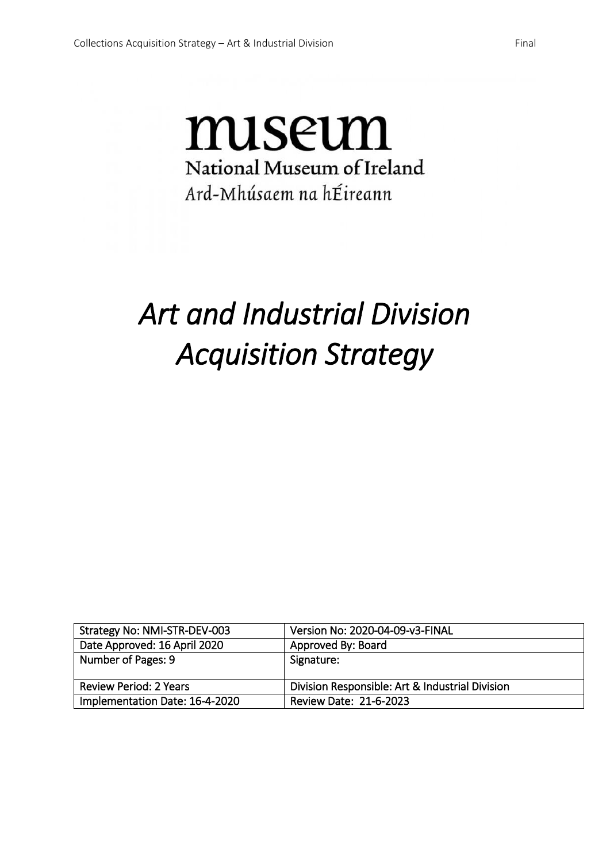## miseum National Museum of Ireland Ard-Mhúsaem na hÉireann

# *Art and Industrial Division Acquisition Strategy*

| Strategy No: NMI-STR-DEV-003  | Version No: 2020-04-09-v3-FINAL                 |
|-------------------------------|-------------------------------------------------|
| Date Approved: 16 April 2020  | Approved By: Board                              |
| Number of Pages: 9            | Signature:                                      |
|                               |                                                 |
| <b>Review Period: 2 Years</b> | Division Responsible: Art & Industrial Division |
|                               |                                                 |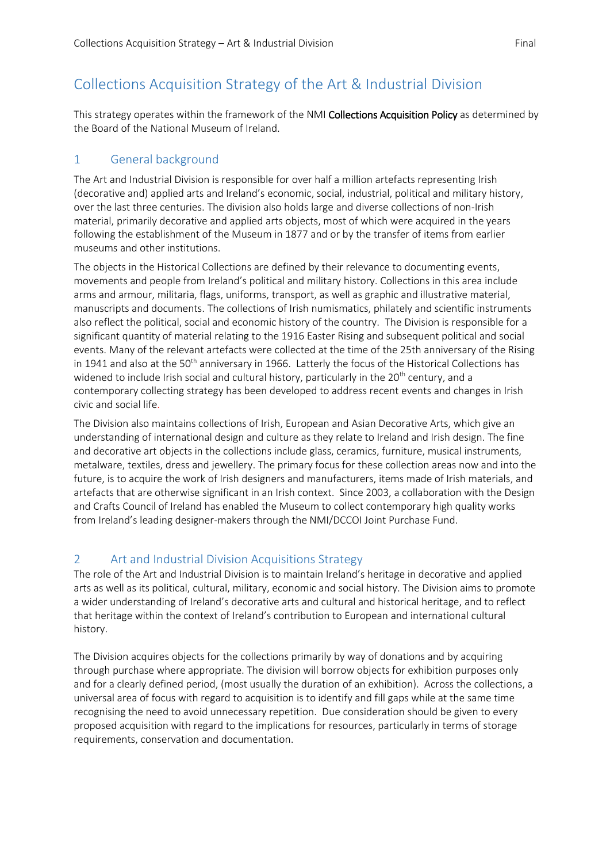## Collections Acquisition Strategy of the Art & Industrial Division

This strategy operates within the framework of the NMI Collections Acquisition Policy as determined by the Board of the National Museum of Ireland.

## 1 General background

The Art and Industrial Division is responsible for over half a million artefacts representing Irish (decorative and) applied arts and Ireland's economic, social, industrial, political and military history, over the last three centuries. The division also holds large and diverse collections of non-Irish material, primarily decorative and applied arts objects, most of which were acquired in the years following the establishment of the Museum in 1877 and or by the transfer of items from earlier museums and other institutions.

The objects in the Historical Collections are defined by their relevance to documenting events, movements and people from Ireland's political and military history. Collections in this area include arms and armour, militaria, flags, uniforms, transport, as well as graphic and illustrative material, manuscripts and documents. The collections of Irish numismatics, philately and scientific instruments also reflect the political, social and economic history of the country. The Division is responsible for a significant quantity of material relating to the 1916 Easter Rising and subsequent political and social events. Many of the relevant artefacts were collected at the time of the 25th anniversary of the Rising in 1941 and also at the 50<sup>th</sup> anniversary in 1966. Latterly the focus of the Historical Collections has widened to include Irish social and cultural history, particularly in the 20<sup>th</sup> century, and a contemporary collecting strategy has been developed to address recent events and changes in Irish civic and social life.

The Division also maintains collections of Irish, European and Asian Decorative Arts, which give an understanding of international design and culture as they relate to Ireland and Irish design. The fine and decorative art objects in the collections include glass, ceramics, furniture, musical instruments, metalware, textiles, dress and jewellery. The primary focus for these collection areas now and into the future, is to acquire the work of Irish designers and manufacturers, items made of Irish materials, and artefacts that are otherwise significant in an Irish context. Since 2003, a collaboration with the Design and Crafts Council of Ireland has enabled the Museum to collect contemporary high quality works from Ireland's leading designer-makers through the NMI/DCCOI Joint Purchase Fund.

## 2 Art and Industrial Division Acquisitions Strategy

The role of the Art and Industrial Division is to maintain Ireland's heritage in decorative and applied arts as well as its political, cultural, military, economic and social history. The Division aims to promote a wider understanding of Ireland's decorative arts and cultural and historical heritage, and to reflect that heritage within the context of Ireland's contribution to European and international cultural history.

The Division acquires objects for the collections primarily by way of donations and by acquiring through purchase where appropriate. The division will borrow objects for exhibition purposes only and for a clearly defined period, (most usually the duration of an exhibition). Across the collections, a universal area of focus with regard to acquisition is to identify and fill gaps while at the same time recognising the need to avoid unnecessary repetition. Due consideration should be given to every proposed acquisition with regard to the implications for resources, particularly in terms of storage requirements, conservation and documentation.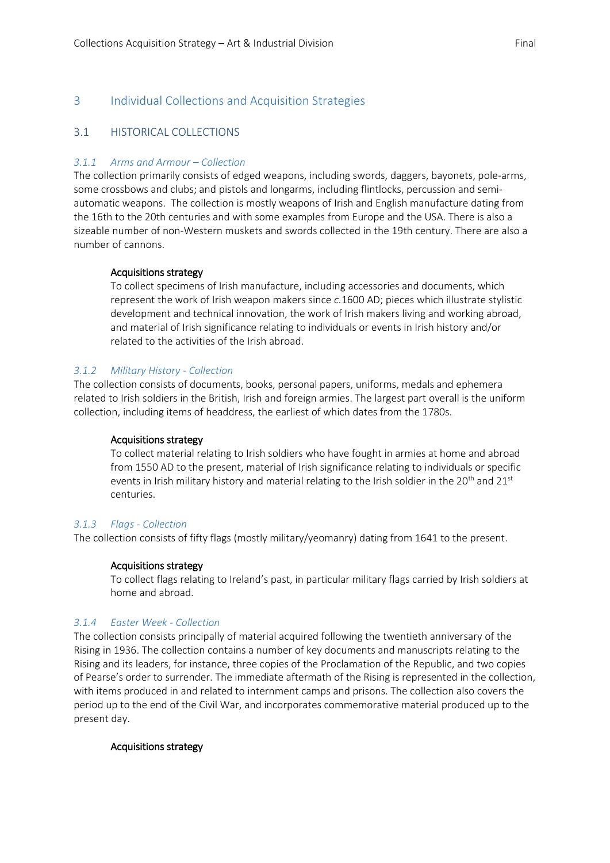### 3 Individual Collections and Acquisition Strategies

#### 3.1 HISTORICAL COLLECTIONS

#### *3.1.1 Arms and Armour – Collection*

The collection primarily consists of edged weapons, including swords, daggers, bayonets, pole-arms, some crossbows and clubs; and pistols and longarms, including flintlocks, percussion and semiautomatic weapons. The collection is mostly weapons of Irish and English manufacture dating from the 16th to the 20th centuries and with some examples from Europe and the USA. There is also a sizeable number of non-Western muskets and swords collected in the 19th century. There are also a number of cannons.

#### Acquisitions strategy

To collect specimens of Irish manufacture, including accessories and documents, which represent the work of Irish weapon makers since *c.*1600 AD; pieces which illustrate stylistic development and technical innovation, the work of Irish makers living and working abroad, and material of Irish significance relating to individuals or events in Irish history and/or related to the activities of the Irish abroad.

#### *3.1.2 Military History - Collection*

The collection consists of documents, books, personal papers, uniforms, medals and ephemera related to Irish soldiers in the British, Irish and foreign armies. The largest part overall is the uniform collection, including items of headdress, the earliest of which dates from the 1780s.

#### Acquisitions strategy

To collect material relating to Irish soldiers who have fought in armies at home and abroad from 1550 AD to the present, material of Irish significance relating to individuals or specific events in Irish military history and material relating to the Irish soldier in the  $20^{th}$  and  $21^{st}$ centuries.

#### *3.1.3 Flags - Collection*

The collection consists of fifty flags (mostly military/yeomanry) dating from 1641 to the present.

#### Acquisitions strategy

To collect flags relating to Ireland's past, in particular military flags carried by Irish soldiers at home and abroad.

#### *3.1.4 Easter Week - Collection*

The collection consists principally of material acquired following the twentieth anniversary of the Rising in 1936. The collection contains a number of key documents and manuscripts relating to the Rising and its leaders, for instance, three copies of the Proclamation of the Republic, and two copies of Pearse's order to surrender. The immediate aftermath of the Rising is represented in the collection, with items produced in and related to internment camps and prisons. The collection also covers the period up to the end of the Civil War, and incorporates commemorative material produced up to the present day.

#### Acquisitions strategy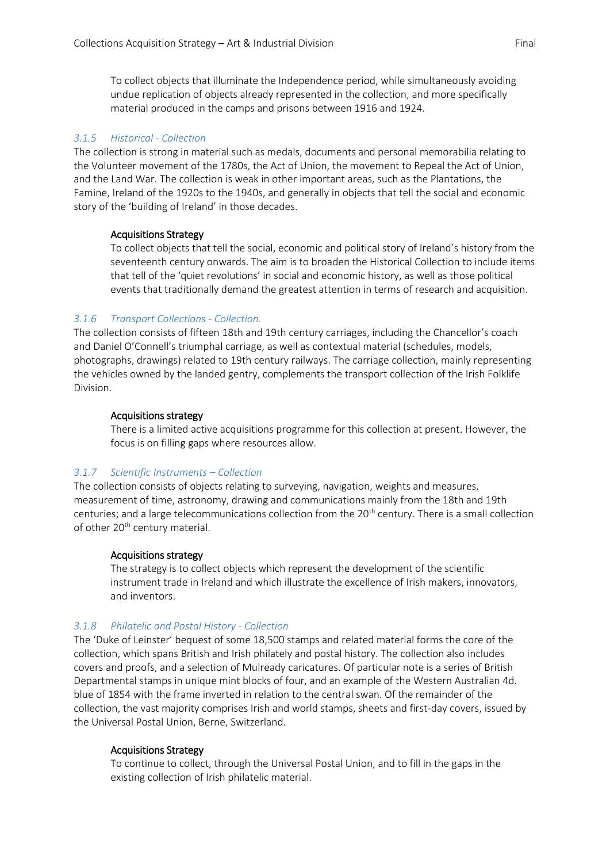To collect objects that illuminate the Independence period, while simultaneously avoiding undue replication of objects already represented in the collection, and more specifically material produced in the camps and prisons between 1916 and 1924.

#### *3.1.5 Historical - Collection*

The collection is strong in material such as medals, documents and personal memorabilia relating to the Volunteer movement of the 1780s, the Act of Union, the movement to Repeal the Act of Union, and the Land War. The collection is weak in other important areas, such as the Plantations, the Famine, Ireland of the 1920s to the 1940s, and generally in objects that tell the social and economic story of the 'building of Ireland' in those decades.

#### Acquisitions Strategy

To collect objects that tell the social, economic and political story of Ireland's history from the seventeenth century onwards. The aim is to broaden the Historical Collection to include items that tell of the 'quiet revolutions' in social and economic history, as well as those political events that traditionally demand the greatest attention in terms of research and acquisition.

#### *3.1.6 Transport Collections - Collection.*

The collection consists of fifteen 18th and 19th century carriages, including the Chancellor's coach and Daniel O'Connell's triumphal carriage, as well as contextual material (schedules, models, photographs, drawings) related to 19th century railways. The carriage collection, mainly representing the vehicles owned by the landed gentry, complements the transport collection of the Irish Folklife Division.

#### Acquisitions strategy

There is a limited active acquisitions programme for this collection at present. However, the focus is on filling gaps where resources allow.

#### *3.1.7 Scientific Instruments – Collection*

The collection consists of objects relating to surveying, navigation, weights and measures, measurement of time, astronomy, drawing and communications mainly from the 18th and 19th centuries; and a large telecommunications collection from the 20<sup>th</sup> century. There is a small collection of other 20<sup>th</sup> century material.

#### Acquisitions strategy

The strategy is to collect objects which represent the development of the scientific instrument trade in Ireland and which illustrate the excellence of Irish makers, innovators, and inventors.

#### *3.1.8 Philatelic and Postal History - Collection*

The 'Duke of Leinster' bequest of some 18,500 stamps and related material forms the core of the collection, which spans British and Irish philately and postal history. The collection also includes covers and proofs, and a selection of Mulready caricatures. Of particular note is a series of British Departmental stamps in unique mint blocks of four, and an example of the Western Australian 4d. blue of 1854 with the frame inverted in relation to the central swan. Of the remainder of the collection, the vast majority comprises Irish and world stamps, sheets and first-day covers, issued by the Universal Postal Union, Berne, Switzerland.

#### Acquisitions Strategy

To continue to collect, through the Universal Postal Union, and to fill in the gaps in the existing collection of Irish philatelic material.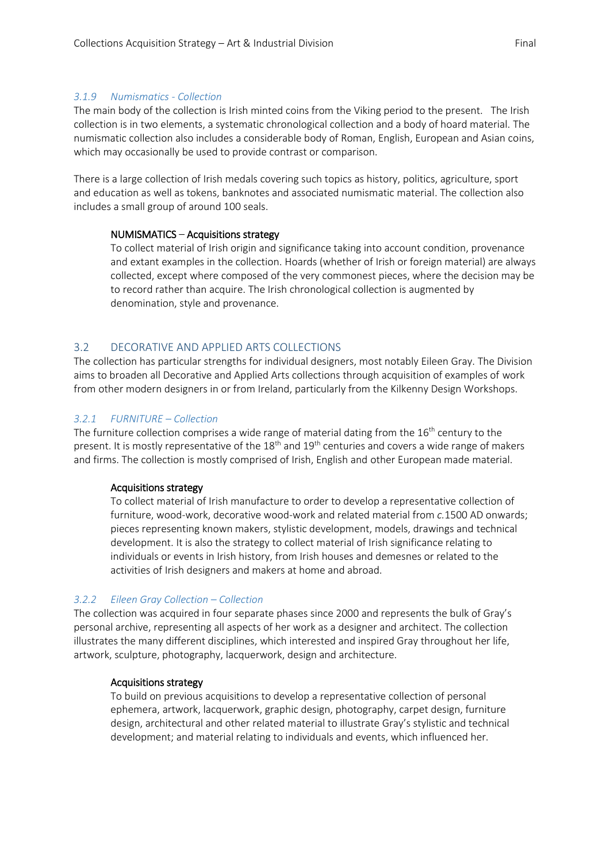#### *3.1.9 Numismatics - Collection*

The main body of the collection is Irish minted coins from the Viking period to the present. The Irish collection is in two elements, a systematic chronological collection and a body of hoard material. The numismatic collection also includes a considerable body of Roman, English, European and Asian coins, which may occasionally be used to provide contrast or comparison.

There is a large collection of Irish medals covering such topics as history, politics, agriculture, sport and education as well as tokens, banknotes and associated numismatic material. The collection also includes a small group of around 100 seals.

#### NUMISMATICS – Acquisitions strategy

To collect material of Irish origin and significance taking into account condition, provenance and extant examples in the collection. Hoards (whether of Irish or foreign material) are always collected, except where composed of the very commonest pieces, where the decision may be to record rather than acquire. The Irish chronological collection is augmented by denomination, style and provenance.

#### 3.2 DECORATIVE AND APPLIED ARTS COLLECTIONS

The collection has particular strengths for individual designers, most notably Eileen Gray. The Division aims to broaden all Decorative and Applied Arts collections through acquisition of examples of work from other modern designers in or from Ireland, particularly from the Kilkenny Design Workshops.

#### *3.2.1 FURNITURE – Collection*

The furniture collection comprises a wide range of material dating from the 16<sup>th</sup> century to the present. It is mostly representative of the  $18<sup>th</sup>$  and  $19<sup>th</sup>$  centuries and covers a wide range of makers and firms. The collection is mostly comprised of Irish, English and other European made material.

#### Acquisitions strategy

To collect material of Irish manufacture to order to develop a representative collection of furniture, wood-work, decorative wood-work and related material from *c.*1500 AD onwards; pieces representing known makers, stylistic development, models, drawings and technical development. It is also the strategy to collect material of Irish significance relating to individuals or events in Irish history, from Irish houses and demesnes or related to the activities of Irish designers and makers at home and abroad.

#### *3.2.2 Eileen Gray Collection – Collection*

The collection was acquired in four separate phases since 2000 and represents the bulk of Gray's personal archive, representing all aspects of her work as a designer and architect. The collection illustrates the many different disciplines, which interested and inspired Gray throughout her life, artwork, sculpture, photography, lacquerwork, design and architecture.

#### Acquisitions strategy

To build on previous acquisitions to develop a representative collection of personal ephemera, artwork, lacquerwork, graphic design, photography, carpet design, furniture design, architectural and other related material to illustrate Gray's stylistic and technical development; and material relating to individuals and events, which influenced her.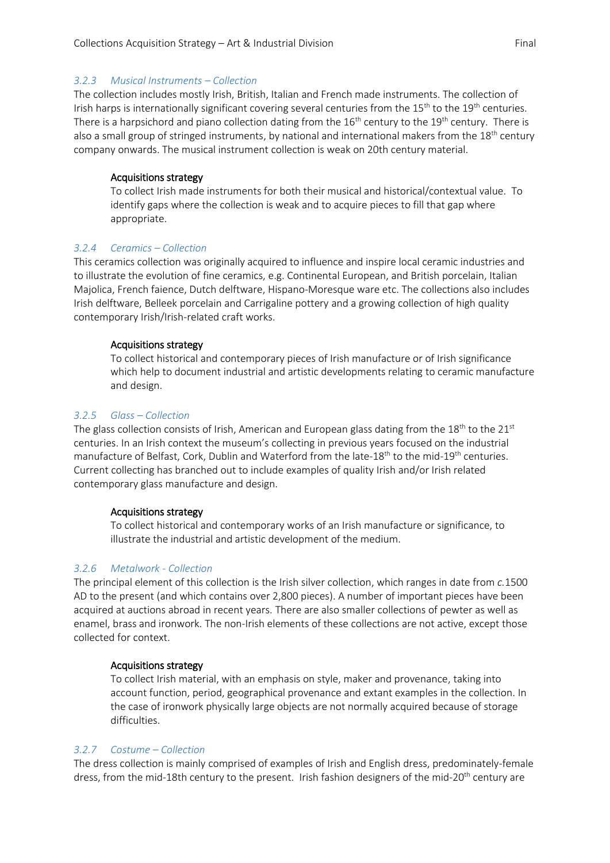#### *3.2.3 Musical Instruments – Collection*

The collection includes mostly Irish, British, Italian and French made instruments. The collection of Irish harps is internationally significant covering several centuries from the  $15<sup>th</sup>$  to the  $19<sup>th</sup>$  centuries. There is a harpsichord and piano collection dating from the  $16<sup>th</sup>$  century to the  $19<sup>th</sup>$  century. There is also a small group of stringed instruments, by national and international makers from the 18<sup>th</sup> century company onwards. The musical instrument collection is weak on 20th century material.

#### Acquisitions strategy

To collect Irish made instruments for both their musical and historical/contextual value. To identify gaps where the collection is weak and to acquire pieces to fill that gap where appropriate.

#### *3.2.4 Ceramics – Collection*

This ceramics collection was originally acquired to influence and inspire local ceramic industries and to illustrate the evolution of fine ceramics, e.g. Continental European, and British porcelain, Italian Majolica, French faience, Dutch delftware, Hispano-Moresque ware etc. The collections also includes Irish delftware, Belleek porcelain and Carrigaline pottery and a growing collection of high quality contemporary Irish/Irish-related craft works.

#### Acquisitions strategy

To collect historical and contemporary pieces of Irish manufacture or of Irish significance which help to document industrial and artistic developments relating to ceramic manufacture and design.

#### *3.2.5 Glass – Collection*

The glass collection consists of Irish, American and European glass dating from the 18<sup>th</sup> to the 21<sup>st</sup> centuries. In an Irish context the museum's collecting in previous years focused on the industrial manufacture of Belfast, Cork, Dublin and Waterford from the late-18<sup>th</sup> to the mid-19<sup>th</sup> centuries. Current collecting has branched out to include examples of quality Irish and/or Irish related contemporary glass manufacture and design.

#### Acquisitions strategy

To collect historical and contemporary works of an Irish manufacture or significance, to illustrate the industrial and artistic development of the medium.

#### *3.2.6 Metalwork - Collection*

The principal element of this collection is the Irish silver collection, which ranges in date from *c.*1500 AD to the present (and which contains over 2,800 pieces). A number of important pieces have been acquired at auctions abroad in recent years. There are also smaller collections of pewter as well as enamel, brass and ironwork. The non-Irish elements of these collections are not active, except those collected for context.

#### Acquisitions strategy

To collect Irish material, with an emphasis on style, maker and provenance, taking into account function, period, geographical provenance and extant examples in the collection. In the case of ironwork physically large objects are not normally acquired because of storage difficulties.

#### *3.2.7 Costume – Collection*

The dress collection is mainly comprised of examples of Irish and English dress, predominately-female dress, from the mid-18th century to the present. Irish fashion designers of the mid-20<sup>th</sup> century are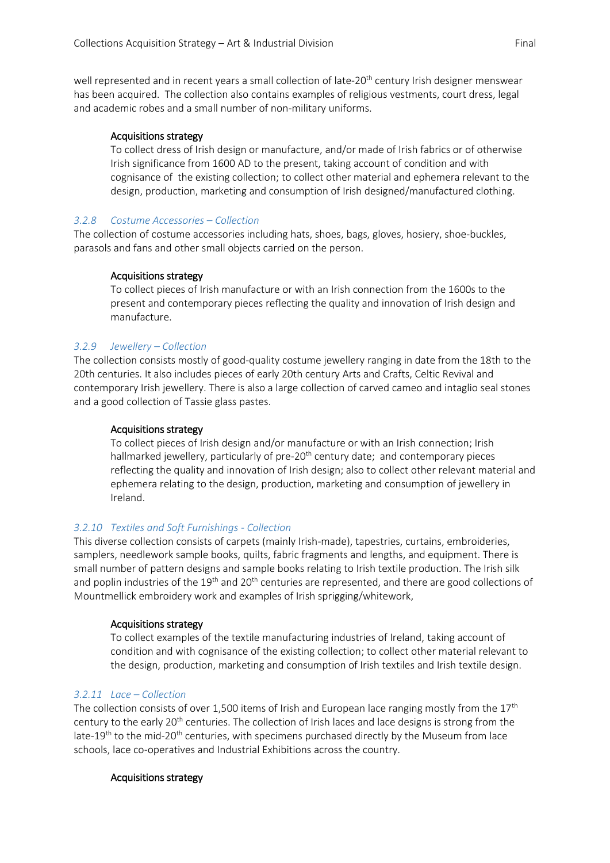well represented and in recent years a small collection of late-20<sup>th</sup> century Irish designer menswear has been acquired. The collection also contains examples of religious vestments, court dress, legal and academic robes and a small number of non-military uniforms.

#### Acquisitions strategy

To collect dress of Irish design or manufacture, and/or made of Irish fabrics or of otherwise Irish significance from 1600 AD to the present, taking account of condition and with cognisance of the existing collection; to collect other material and ephemera relevant to the design, production, marketing and consumption of Irish designed/manufactured clothing.

#### *3.2.8 Costume Accessories – Collection*

The collection of costume accessories including hats, shoes, bags, gloves, hosiery, shoe-buckles, parasols and fans and other small objects carried on the person.

#### Acquisitions strategy

To collect pieces of Irish manufacture or with an Irish connection from the 1600s to the present and contemporary pieces reflecting the quality and innovation of Irish design and manufacture.

#### *3.2.9 Jewellery – Collection*

The collection consists mostly of good-quality costume jewellery ranging in date from the 18th to the 20th centuries. It also includes pieces of early 20th century Arts and Crafts, Celtic Revival and contemporary Irish jewellery. There is also a large collection of carved cameo and intaglio seal stones and a good collection of Tassie glass pastes.

#### Acquisitions strategy

To collect pieces of Irish design and/or manufacture or with an Irish connection; Irish hallmarked jewellery, particularly of pre- $20<sup>th</sup>$  century date; and contemporary pieces reflecting the quality and innovation of Irish design; also to collect other relevant material and ephemera relating to the design, production, marketing and consumption of jewellery in Ireland.

#### *3.2.10 Textiles and Soft Furnishings - Collection*

This diverse collection consists of carpets (mainly Irish-made), tapestries, curtains, embroideries, samplers, needlework sample books, quilts, fabric fragments and lengths, and equipment. There is small number of pattern designs and sample books relating to Irish textile production. The Irish silk and poplin industries of the 19<sup>th</sup> and 20<sup>th</sup> centuries are represented, and there are good collections of Mountmellick embroidery work and examples of Irish sprigging/whitework,

#### Acquisitions strategy

To collect examples of the textile manufacturing industries of Ireland, taking account of condition and with cognisance of the existing collection; to collect other material relevant to the design, production, marketing and consumption of Irish textiles and Irish textile design.

#### *3.2.11 Lace – Collection*

The collection consists of over 1,500 items of Irish and European lace ranging mostly from the  $17<sup>th</sup>$ century to the early 20<sup>th</sup> centuries. The collection of Irish laces and lace designs is strong from the late-19<sup>th</sup> to the mid-20<sup>th</sup> centuries, with specimens purchased directly by the Museum from lace schools, lace co-operatives and Industrial Exhibitions across the country.

#### Acquisitions strategy